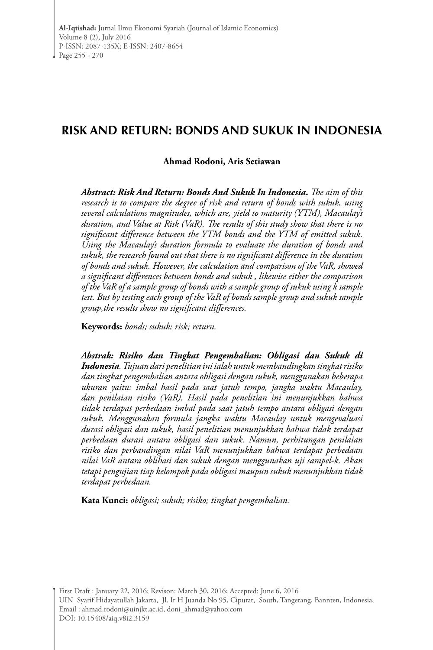# **RISK AND RETURN: BONDS AND SUKUK IN INDONESIA**

### **Ahmad Rodoni, Aris Setiawan**

*Abstract: Risk And Return: Bonds And Sukuk In Indonesia***.** *The aim of this research is to compare the degree of risk and return of bonds with sukuk, using several calculations magnitudes, which are, yield to maturity (YTM), Macaulay's duration, and Value at Risk (VaR). The results of this study show that there is no significant difference between the YTM bonds and the YTM of emitted sukuk. Using the Macaulay's duration formula to evaluate the duration of bonds and sukuk, the research found out that there is no significant difference in the duration of bonds and sukuk. However, the calculation and comparison of the VaR, showed a significant differences between bonds and sukuk , likewise either the comparison of the VaR of a sample group of bonds with a sample group of sukuk using k sample test. But by testing each group of the VaR of bonds sample group and sukuk sample group,the results show no significant differences.*

**Keywords:** *bonds; sukuk; risk; return.*

*Abstrak: Risiko dan Tingkat Pengembalian: Obligasi dan Sukuk di Indonesia. Tujuan dari penelitian ini ialah untuk membandingkan tingkat risiko dan tingkat pengembalian antara obligasi dengan sukuk, menggunakan beberapa ukuran yaitu: imbal hasil pada saat jatuh tempo, jangka waktu Macaulay, dan penilaian risiko (VaR). Hasil pada penelitian ini menunjukkan bahwa tidak terdapat perbedaan imbal pada saat jatuh tempo antara obligasi dengan sukuk. Menggunakan formula jangka waktu Macaulay untuk mengevaluasi durasi obligasi dan sukuk, hasil penelitian menunjukkan bahwa tidak terdapat perbedaan durasi antara obligasi dan sukuk. Namun, perhitungan penilaian risiko dan perbandingan nilai VaR menunjukkan bahwa terdapat perbedaan nilai VaR antara oblihasi dan sukuk dengan menggunakan uji sampel-k. Akan tetapi pengujian tiap kelompok pada obligasi maupun sukuk menunjukkan tidak terdapat perbedaan.*

**Kata Kunci:** *obligasi; sukuk; risiko; tingkat pengembalian.*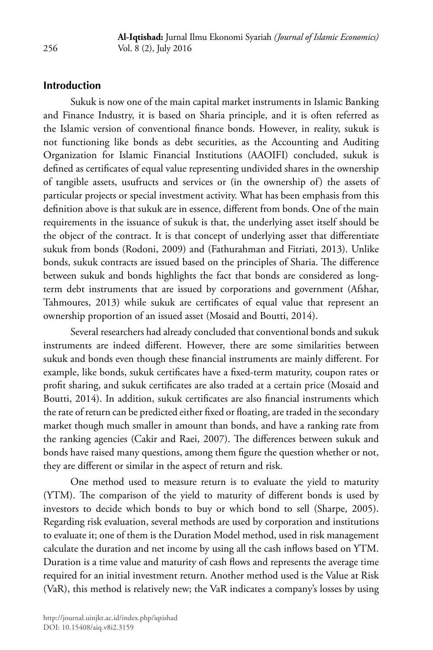### **Introduction**

Sukuk is now one of the main capital market instruments in Islamic Banking and Finance Industry, it is based on Sharia principle, and it is often referred as the Islamic version of conventional finance bonds. However, in reality, sukuk is not functioning like bonds as debt securities, as the Accounting and Auditing Organization for Islamic Financial Institutions (AAOIFI) concluded, sukuk is defined as certificates of equal value representing undivided shares in the ownership of tangible assets, usufructs and services or (in the ownership of) the assets of particular projects or special investment activity. What has been emphasis from this definition above is that sukuk are in essence, different from bonds. One of the main requirements in the issuance of sukuk is that, the underlying asset itself should be the object of the contract. It is that concept of underlying asset that differentiate sukuk from bonds (Rodoni, 2009) and (Fathurahman and Fitriati, 2013). Unlike bonds, sukuk contracts are issued based on the principles of Sharia. The difference between sukuk and bonds highlights the fact that bonds are considered as longterm debt instruments that are issued by corporations and government (Afshar, Tahmoures, 2013) while sukuk are certificates of equal value that represent an ownership proportion of an issued asset (Mosaid and Boutti, 2014).

Several researchers had already concluded that conventional bonds and sukuk instruments are indeed different. However, there are some similarities between sukuk and bonds even though these financial instruments are mainly different. For example, like bonds, sukuk certificates have a fixed-term maturity, coupon rates or profit sharing, and sukuk certificates are also traded at a certain price (Mosaid and Boutti, 2014). In addition, sukuk certificates are also financial instruments which the rate of return can be predicted either fixed or floating, are traded in the secondary market though much smaller in amount than bonds, and have a ranking rate from the ranking agencies (Cakir and Raei, 2007). The differences between sukuk and bonds have raised many questions, among them figure the question whether or not, they are different or similar in the aspect of return and risk.

One method used to measure return is to evaluate the yield to maturity (YTM). The comparison of the yield to maturity of different bonds is used by investors to decide which bonds to buy or which bond to sell (Sharpe, 2005). Regarding risk evaluation, several methods are used by corporation and institutions to evaluate it; one of them is the Duration Model method, used in risk management calculate the duration and net income by using all the cash inflows based on YTM. Duration is a time value and maturity of cash flows and represents the average time required for an initial investment return. Another method used is the Value at Risk (VaR), this method is relatively new; the VaR indicates a company's losses by using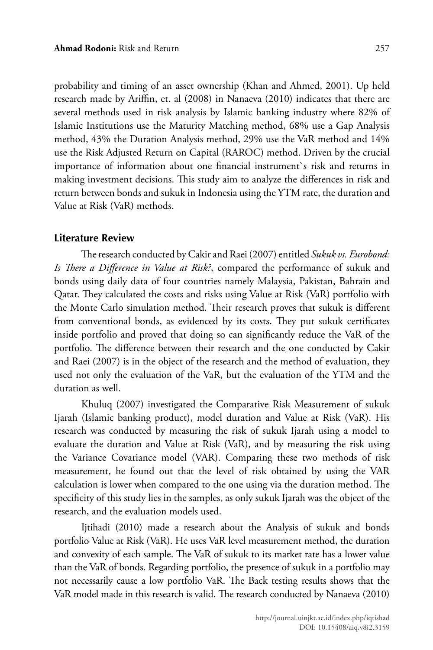probability and timing of an asset ownership (Khan and Ahmed, 2001). Up held research made by Ariffin, et. al (2008) in Nanaeva (2010) indicates that there are several methods used in risk analysis by Islamic banking industry where 82% of Islamic Institutions use the Maturity Matching method, 68% use a Gap Analysis method, 43% the Duration Analysis method, 29% use the VaR method and 14% use the Risk Adjusted Return on Capital (RAROC) method. Driven by the crucial importance of information about one financial instrument`s risk and returns in making investment decisions. This study aim to analyze the differences in risk and return between bonds and sukuk in Indonesia using the YTM rate, the duration and Value at Risk (VaR) methods.

### **Literature Review**

The research conducted by Cakir and Raei (2007) entitled *Sukuk vs. Eurobond: Is There a Difference in Value at Risk?*, compared the performance of sukuk and bonds using daily data of four countries namely Malaysia, Pakistan, Bahrain and Qatar. They calculated the costs and risks using Value at Risk (VaR) portfolio with the Monte Carlo simulation method. Their research proves that sukuk is different from conventional bonds, as evidenced by its costs. They put sukuk certificates inside portfolio and proved that doing so can significantly reduce the VaR of the portfolio. The difference between their research and the one conducted by Cakir and Raei (2007) is in the object of the research and the method of evaluation, they used not only the evaluation of the VaR, but the evaluation of the YTM and the duration as well.

Khuluq (2007) investigated the Comparative Risk Measurement of sukuk Ijarah (Islamic banking product), model duration and Value at Risk (VaR). His research was conducted by measuring the risk of sukuk Ijarah using a model to evaluate the duration and Value at Risk (VaR), and by measuring the risk using the Variance Covariance model (VAR). Comparing these two methods of risk measurement, he found out that the level of risk obtained by using the VAR calculation is lower when compared to the one using via the duration method. The specificity of this study lies in the samples, as only sukuk Ijarah was the object of the research, and the evaluation models used.

Ijtihadi (2010) made a research about the Analysis of sukuk and bonds portfolio Value at Risk (VaR). He uses VaR level measurement method, the duration and convexity of each sample. The VaR of sukuk to its market rate has a lower value than the VaR of bonds. Regarding portfolio, the presence of sukuk in a portfolio may not necessarily cause a low portfolio VaR. The Back testing results shows that the VaR model made in this research is valid. The research conducted by Nanaeva (2010)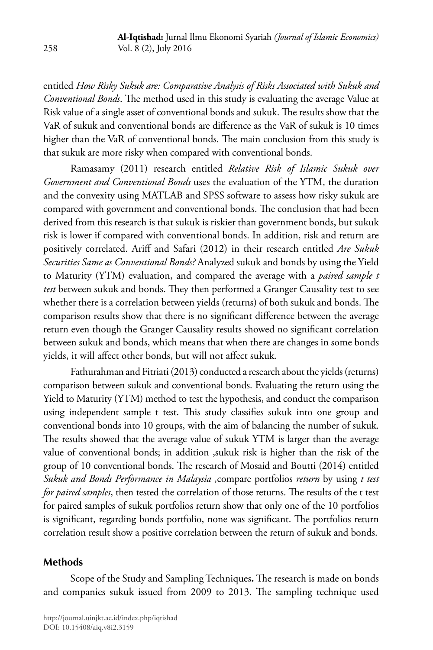entitled *How Risky Sukuk are: Comparative Analysis of Risks Associated with Sukuk and Conventional Bonds*. The method used in this study is evaluating the average Value at Risk value of a single asset of conventional bonds and sukuk. The results show that the VaR of sukuk and conventional bonds are difference as the VaR of sukuk is 10 times higher than the VaR of conventional bonds. The main conclusion from this study is that sukuk are more risky when compared with conventional bonds.

Ramasamy (2011) research entitled *Relative Risk of Islamic Sukuk over Government and Conventional Bonds* uses the evaluation of the YTM, the duration and the convexity using MATLAB and SPSS software to assess how risky sukuk are compared with government and conventional bonds. The conclusion that had been derived from this research is that sukuk is riskier than government bonds, but sukuk risk is lower if compared with conventional bonds. In addition, risk and return are positively correlated. Ariff and Safari (2012) in their research entitled *Are Sukuk Securities Same as Conventional Bonds?* Analyzed sukuk and bonds by using the Yield to Maturity (YTM) evaluation, and compared the average with a *paired sample t test* between sukuk and bonds. They then performed a Granger Causality test to see whether there is a correlation between yields (returns) of both sukuk and bonds. The comparison results show that there is no significant difference between the average return even though the Granger Causality results showed no significant correlation between sukuk and bonds, which means that when there are changes in some bonds yields, it will affect other bonds, but will not affect sukuk.

Fathurahman and Fitriati (2013) conducted a research about the yields (returns) comparison between sukuk and conventional bonds. Evaluating the return using the Yield to Maturity (YTM) method to test the hypothesis, and conduct the comparison using independent sample t test. This study classifies sukuk into one group and conventional bonds into 10 groups, with the aim of balancing the number of sukuk. The results showed that the average value of sukuk YTM is larger than the average value of conventional bonds; in addition ,sukuk risk is higher than the risk of the group of 10 conventional bonds. The research of Mosaid and Boutti (2014) entitled *Sukuk and Bonds Performance in Malaysia ,*compare portfolios *return* by using *t test for paired samples*, then tested the correlation of those returns. The results of the t test for paired samples of sukuk portfolios return show that only one of the 10 portfolios is significant, regarding bonds portfolio, none was significant. The portfolios return correlation result show a positive correlation between the return of sukuk and bonds.

## **Methods**

Scope of the Study and Sampling Techniques**.** The research is made on bonds and companies sukuk issued from 2009 to 2013. The sampling technique used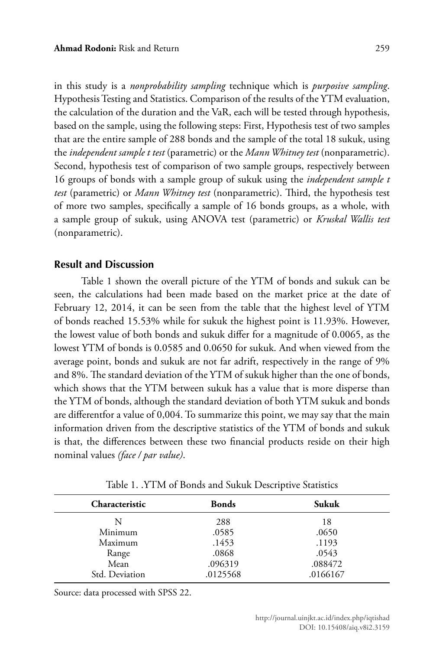in this study is a *nonprobability sampling* technique which is *purposive sampling*. Hypothesis Testing and Statistics. Comparison of the results of the YTM evaluation, the calculation of the duration and the VaR, each will be tested through hypothesis, based on the sample, using the following steps: First, Hypothesis test of two samples that are the entire sample of 288 bonds and the sample of the total 18 sukuk, using the *independent sample t test* (parametric) or the *Mann Whitney test* (nonparametric). Second, hypothesis test of comparison of two sample groups, respectively between 16 groups of bonds with a sample group of sukuk using the *independent sample t test* (parametric) or *Mann Whitney test* (nonparametric). Third, the hypothesis test of more two samples, specifically a sample of 16 bonds groups, as a whole, with a sample group of sukuk, using ANOVA test (parametric) or *Kruskal Wallis test* (nonparametric).

### **Result and Discussion**

Table 1 shown the overall picture of the YTM of bonds and sukuk can be seen, the calculations had been made based on the market price at the date of February 12, 2014, it can be seen from the table that the highest level of YTM of bonds reached 15.53% while for sukuk the highest point is 11.93%. However, the lowest value of both bonds and sukuk differ for a magnitude of 0.0065, as the lowest YTM of bonds is 0.0585 and 0.0650 for sukuk. And when viewed from the average point, bonds and sukuk are not far adrift, respectively in the range of 9% and 8%. The standard deviation of the YTM of sukuk higher than the one of bonds, which shows that the YTM between sukuk has a value that is more disperse than the YTM of bonds, although the standard deviation of both YTM sukuk and bonds are differentfor a value of 0,004. To summarize this point, we may say that the main information driven from the descriptive statistics of the YTM of bonds and sukuk is that, the differences between these two financial products reside on their high nominal values *(face / par value)*.

| <b>Characteristic</b> | <b>Bonds</b> | Sukuk    |
|-----------------------|--------------|----------|
| N                     | 288          | 18       |
| Minimum               | .0585        | .0650    |
| Maximum               | .1453        | .1193    |
| Range                 | .0868        | .0543    |
| Mean                  | .096319      | .088472  |
| Std. Deviation        | .0125568     | .0166167 |

Table 1. .YTM of Bonds and Sukuk Descriptive Statistics

Source: data processed with SPSS 22.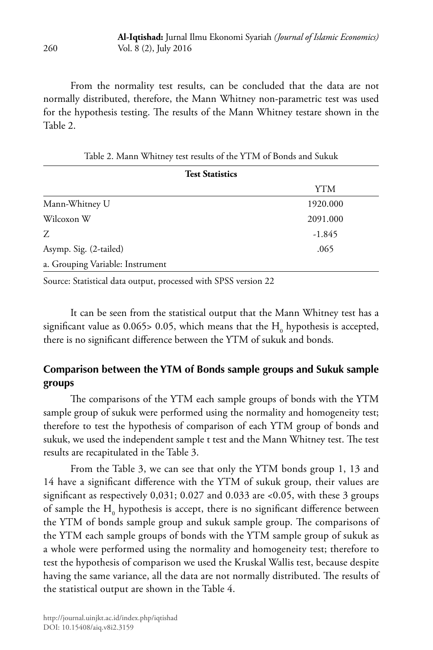From the normality test results, can be concluded that the data are not normally distributed, therefore, the Mann Whitney non-parametric test was used for the hypothesis testing. The results of the Mann Whitney testare shown in the Table 2.

| <b>Test Statistics</b>           |          |
|----------------------------------|----------|
|                                  | YTM      |
| Mann-Whitney U                   | 1920.000 |
| Wilcoxon W                       | 2091.000 |
| Z                                | $-1.845$ |
| Asymp. Sig. (2-tailed)           | .065     |
| a. Grouping Variable: Instrument |          |

Table 2. Mann Whitney test results of the YTM of Bonds and Sukuk

Source: Statistical data output, processed with SPSS version 22

It can be seen from the statistical output that the Mann Whitney test has a significant value as 0.065> 0.05, which means that the  $\mathrm{H_{0}}$  hypothesis is accepted, there is no significant difference between the YTM of sukuk and bonds.

# **Comparison between the YTM of Bonds sample groups and Sukuk sample groups**

The comparisons of the YTM each sample groups of bonds with the YTM sample group of sukuk were performed using the normality and homogeneity test; therefore to test the hypothesis of comparison of each YTM group of bonds and sukuk, we used the independent sample t test and the Mann Whitney test. The test results are recapitulated in the Table 3.

From the Table 3, we can see that only the YTM bonds group 1, 13 and 14 have a significant difference with the YTM of sukuk group, their values are significant as respectively 0,031; 0.027 and 0.033 are <0.05, with these 3 groups of sample the  $H_0$  hypothesis is accept, there is no significant difference between the YTM of bonds sample group and sukuk sample group. The comparisons of the YTM each sample groups of bonds with the YTM sample group of sukuk as a whole were performed using the normality and homogeneity test; therefore to test the hypothesis of comparison we used the Kruskal Wallis test, because despite having the same variance, all the data are not normally distributed. The results of the statistical output are shown in the Table 4.

260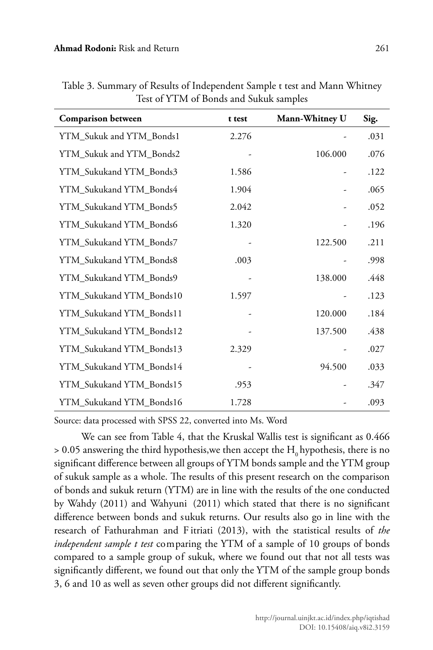| <b>Comparison between</b> | t test | Mann-Whitney U | Sig. |
|---------------------------|--------|----------------|------|
| YTM_Sukuk and YTM_Bonds1  | 2.276  |                | .031 |
| YTM_Sukuk and YTM_Bonds2  |        | 106.000        | .076 |
| YTM_Sukukand YTM_Bonds3   | 1.586  |                | .122 |
| YTM_Sukukand YTM_Bonds4   | 1.904  |                | .065 |
| YTM_Sukukand YTM_Bonds5   | 2.042  |                | .052 |
| YTM_Sukukand YTM_Bonds6   | 1.320  |                | .196 |
| YTM_Sukukand YTM_Bonds7   |        | 122.500        | .211 |
| YTM_Sukukand YTM_Bonds8   | .003   |                | .998 |
| YTM_Sukukand YTM_Bonds9   |        | 138.000        | .448 |
| YTM_Sukukand YTM_Bonds10  | 1.597  |                | .123 |
| YTM_Sukukand YTM_Bonds11  |        | 120.000        | .184 |
| YTM_Sukukand YTM_Bonds12  |        | 137.500        | .438 |
| YTM_Sukukand YTM_Bonds13  | 2.329  |                | .027 |
| YTM_Sukukand YTM_Bonds14  |        | 94.500         | .033 |
| YTM_Sukukand YTM_Bonds15  | .953   |                | .347 |
| YTM_Sukukand YTM_Bonds16  | 1.728  |                | .093 |

Table 3. Summary of Results of Independent Sample t test and Mann Whitney Test of YTM of Bonds and Sukuk samples

Source: data processed with SPSS 22, converted into Ms. Word

We can see from Table 4, that the Kruskal Wallis test is significant as 0.466  $> 0.05$  answering the third hypothesis, we then accept the  $H_0$  hypothesis, there is no significant difference between all groups of YTM bonds sample and the YTM group of sukuk sample as a whole. The results of this present research on the comparison of bonds and sukuk return (YTM) are in line with the results of the one conducted by Wahdy (2011) and Wahyuni (2011) which stated that there is no significant difference between bonds and sukuk returns. Our results also go in line with the research of Fathurahman and F itriati (2013), with the statistical results of *the independent sample t test* comparing the YTM of a sample of 10 groups of bonds compared to a sample group of sukuk, where we found out that not all tests was significantly different, we found out that only the YTM of the sample group bonds 3, 6 and 10 as well as seven other groups did not different significantly.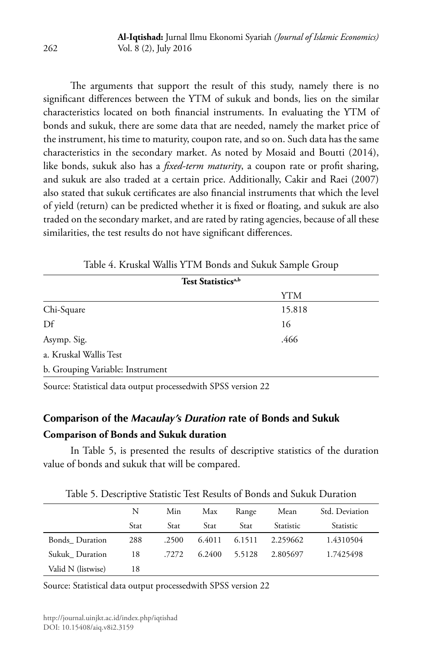The arguments that support the result of this study, namely there is no significant differences between the YTM of sukuk and bonds, lies on the similar characteristics located on both financial instruments. In evaluating the YTM of bonds and sukuk, there are some data that are needed, namely the market price of the instrument, his time to maturity, coupon rate, and so on. Such data has the same characteristics in the secondary market. As noted by Mosaid and Boutti (2014), like bonds, sukuk also has a *fixed-term maturity*, a coupon rate or profit sharing, and sukuk are also traded at a certain price. Additionally, Cakir and Raei (2007) also stated that sukuk certificates are also financial instruments that which the level of yield (return) can be predicted whether it is fixed or floating, and sukuk are also traded on the secondary market, and are rated by rating agencies, because of all these similarities, the test results do not have significant differences.

| Test Statistics <sup>a,b</sup>   |        |  |
|----------------------------------|--------|--|
|                                  | YTM    |  |
| Chi-Square                       | 15.818 |  |
| $\mathbf{D}$ f                   | 16     |  |
| Asymp. Sig.                      | .466   |  |
| a. Kruskal Wallis Test           |        |  |
| b. Grouping Variable: Instrument |        |  |
|                                  |        |  |

Table 4. Kruskal Wallis YTM Bonds and Sukuk Sample Group

Source: Statistical data output processedwith SPSS version 22

# **Comparison of the** *Macaulay's Duration* **rate of Bonds and Sukuk Comparison of Bonds and Sukuk duration**

In Table 5, is presented the results of descriptive statistics of the duration value of bonds and sukuk that will be compared.

|                    | N    | Min   | Max    | Range  | Mean      | Std. Deviation |
|--------------------|------|-------|--------|--------|-----------|----------------|
|                    | Stat | Stat  | Stat   | Stat   | Statistic | Statistic      |
| Bonds Duration     | 288  | .2500 | 6.4011 | 6.1511 | 2.259662  | 1.4310504      |
| Sukuk Duration     | 18   | .7272 | 6.2400 | 5.5128 | 2.805697  | 1.7425498      |
| Valid N (listwise) | 18   |       |        |        |           |                |

Table 5. Descriptive Statistic Test Results of Bonds and Sukuk Duration

Source: Statistical data output processedwith SPSS version 22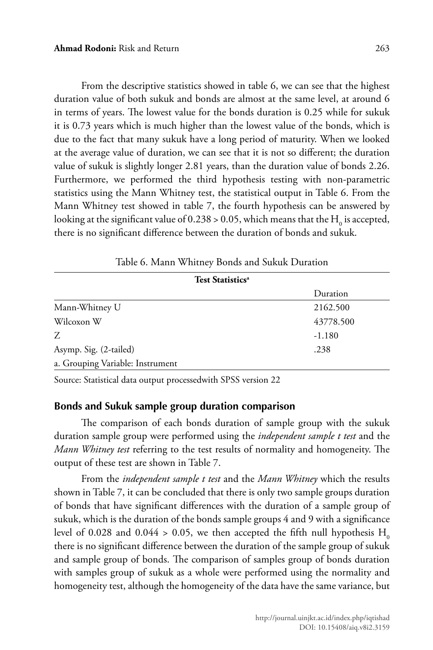From the descriptive statistics showed in table 6, we can see that the highest duration value of both sukuk and bonds are almost at the same level, at around 6 in terms of years. The lowest value for the bonds duration is 0.25 while for sukuk it is 0.73 years which is much higher than the lowest value of the bonds, which is due to the fact that many sukuk have a long period of maturity. When we looked at the average value of duration, we can see that it is not so different; the duration value of sukuk is slightly longer 2.81 years, than the duration value of bonds 2.26. Furthermore, we performed the third hypothesis testing with non-parametric statistics using the Mann Whitney test, the statistical output in Table 6. From the Mann Whitney test showed in table 7, the fourth hypothesis can be answered by looking at the significant value of 0.238 > 0.05, which means that the  $\rm H_{0}$  is accepted, there is no significant difference between the duration of bonds and sukuk.

| <b>Test Statistics<sup>a</sup></b> |           |
|------------------------------------|-----------|
|                                    | Duration  |
| Mann-Whitney U                     | 2162.500  |
| Wilcoxon W                         | 43778.500 |
| Z                                  | $-1.180$  |
| Asymp. Sig. (2-tailed)             | .238      |
| a. Grouping Variable: Instrument   |           |

Table 6. Mann Whitney Bonds and Sukuk Duration

Source: Statistical data output processedwith SPSS version 22

## **Bonds and Sukuk sample group duration comparison**

The comparison of each bonds duration of sample group with the sukuk duration sample group were performed using the *independent sample t test* and the *Mann Whitney test* referring to the test results of normality and homogeneity. The output of these test are shown in Table 7.

From the *independent sample t test* and the *Mann Whitney* which the results shown in Table 7, it can be concluded that there is only two sample groups duration of bonds that have significant differences with the duration of a sample group of sukuk, which is the duration of the bonds sample groups 4 and 9 with a significance level of 0.028 and 0.044 > 0.05, we then accepted the fifth null hypothesis  $H_0$ there is no significant difference between the duration of the sample group of sukuk and sample group of bonds. The comparison of samples group of bonds duration with samples group of sukuk as a whole were performed using the normality and homogeneity test, although the homogeneity of the data have the same variance, but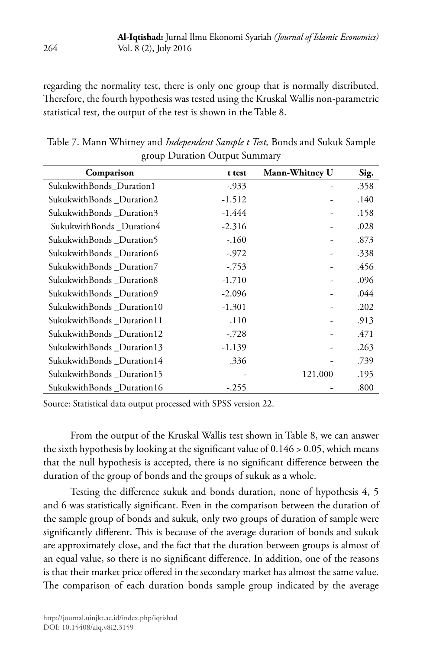regarding the normality test, there is only one group that is normally distributed. Therefore, the fourth hypothesis was tested using the Kruskal Wallis non-parametric statistical test, the output of the test is shown in the Table 8.

| Comparison                 | t test   | Mann-Whitney U | Sig. |
|----------------------------|----------|----------------|------|
| SukukwithBonds_Duration1   | $-0.933$ |                | .358 |
| SukukwithBonds _Duration2  | $-1.512$ |                | .140 |
| SukukwithBonds_Duration3   | -1.444   |                | .158 |
| SukukwithBonds_Duration4   | $-2.316$ |                | .028 |
| SukukwithBonds _Duration5  | $-.160$  | -              | .873 |
| SukukwithBonds _Duration6  | $-.972$  | ۰              | .338 |
| SukukwithBonds _Duration7  | $-753$   | ۰              | .456 |
| SukukwithBonds_Duration8   | $-1.710$ | -              | .096 |
| SukukwithBonds_Duration9   | $-2.096$ | ۰              | .044 |
| SukukwithBonds _Duration10 | $-1.301$ |                | .202 |
| SukukwithBonds _Duration11 | .110     | -              | .913 |
| SukukwithBonds _Duration12 | $-.728$  | ۰              | .471 |
| SukukwithBonds_Duration13  | $-1.139$ | -              | .263 |
| SukukwithBonds_Duration14  | .336     |                | .739 |
| SukukwithBonds_Duration15  |          | 121.000        | .195 |
| SukukwithBonds _Duration16 | $-.255$  |                | .800 |

Table 7. Mann Whitney and *Independent Sample t Test,* Bonds and Sukuk Sample group Duration Output Summary

Source: Statistical data output processed with SPSS version 22.

From the output of the Kruskal Wallis test shown in Table 8, we can answer the sixth hypothesis by looking at the significant value of 0.146 > 0.05, which means that the null hypothesis is accepted, there is no significant difference between the duration of the group of bonds and the groups of sukuk as a whole.

Testing the difference sukuk and bonds duration, none of hypothesis 4, 5 and 6 was statistically significant. Even in the comparison between the duration of the sample group of bonds and sukuk, only two groups of duration of sample were significantly different. This is because of the average duration of bonds and sukuk are approximately close, and the fact that the duration between groups is almost of an equal value, so there is no significant difference. In addition, one of the reasons is that their market price offered in the secondary market has almost the same value. The comparison of each duration bonds sample group indicated by the average

264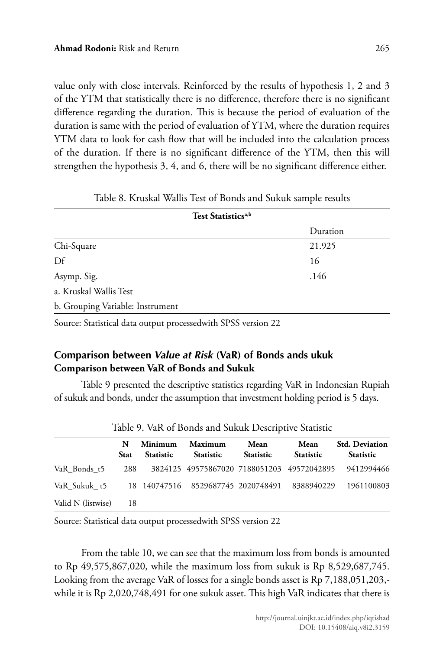value only with close intervals. Reinforced by the results of hypothesis 1, 2 and 3 of the YTM that statistically there is no difference, therefore there is no significant difference regarding the duration. This is because the period of evaluation of the duration is same with the period of evaluation of YTM, where the duration requires YTM data to look for cash flow that will be included into the calculation process of the duration. If there is no significant difference of the YTM, then this will strengthen the hypothesis 3, 4, and 6, there will be no significant difference either.

| Test Statistics <sup>a,b</sup>                      |          |  |  |  |  |
|-----------------------------------------------------|----------|--|--|--|--|
|                                                     | Duration |  |  |  |  |
| Chi-Square                                          | 21.925   |  |  |  |  |
| $\mathbf{D}$ f                                      | 16       |  |  |  |  |
| Asymp. Sig.                                         | .146     |  |  |  |  |
| a. Kruskal Wallis Test                              |          |  |  |  |  |
| b. Grouping Variable: Instrument                    |          |  |  |  |  |
| $1 \cdot 1$ $0 \cdot 0 \cdot 0$ $1 \cdot 0 \cdot 0$ |          |  |  |  |  |

|  |  |  |  | Table 8. Kruskal Wallis Test of Bonds and Sukuk sample results |  |  |  |  |
|--|--|--|--|----------------------------------------------------------------|--|--|--|--|
|--|--|--|--|----------------------------------------------------------------|--|--|--|--|

Source: Statistical data output processedwith SPSS version 22

# **Comparison between** *Value at Risk* **(VaR) of Bonds ands ukuk Comparison between VaR of Bonds and Sukuk**

Table 9 presented the descriptive statistics regarding VaR in Indonesian Rupiah of sukuk and bonds, under the assumption that investment holding period is 5 days.

| Table 7. Vall of Dollas and Odnah Descriptive Statistic |                  |                             |                                            |                          |                          |                                           |  |
|---------------------------------------------------------|------------------|-----------------------------|--------------------------------------------|--------------------------|--------------------------|-------------------------------------------|--|
|                                                         | N<br><b>Stat</b> | Minimum<br><b>Statistic</b> | Maximum<br><b>Statistic</b>                | Mean<br><b>Statistic</b> | Mean<br><b>Statistic</b> | <b>Std. Deviation</b><br><b>Statistic</b> |  |
| VaR Bonds t5                                            | 288              |                             | 3824125 49575867020 7188051203 49572042895 |                          |                          | 9412994466                                |  |
| VaR Sukuk t5                                            |                  |                             | 18 140747516 8529687745 2020748491         |                          | 8388940229               | 1961100803                                |  |
| Valid N (listwise)                                      | 18               |                             |                                            |                          |                          |                                           |  |

Table 9. VaR of Bonds and Sukuk Descriptive Statistic

Source: Statistical data output processedwith SPSS version 22

From the table 10, we can see that the maximum loss from bonds is amounted to Rp 49,575,867,020, while the maximum loss from sukuk is Rp 8,529,687,745. Looking from the average VaR of losses for a single bonds asset is Rp 7,188,051,203, while it is Rp 2,020,748,491 for one sukuk asset. This high VaR indicates that there is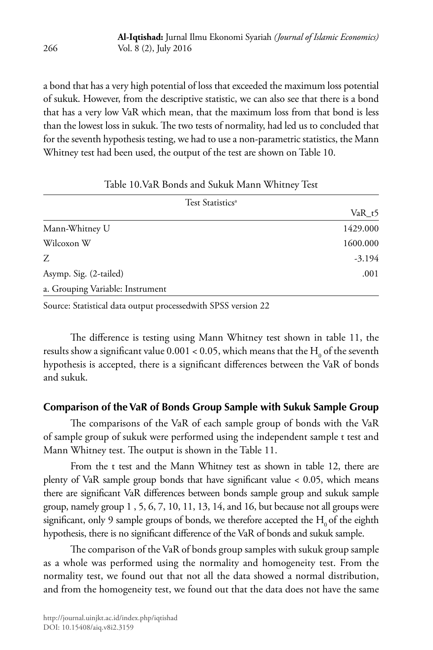a bond that has a very high potential of loss that exceeded the maximum loss potential of sukuk. However, from the descriptive statistic, we can also see that there is a bond that has a very low VaR which mean, that the maximum loss from that bond is less than the lowest loss in sukuk. The two tests of normality, had led us to concluded that for the seventh hypothesis testing, we had to use a non-parametric statistics, the Mann Whitney test had been used, the output of the test are shown on Table 10.

| Test Statistics <sup>a</sup>     |          |
|----------------------------------|----------|
|                                  | VaR t5   |
| Mann-Whitney U                   | 1429.000 |
| Wilcoxon W                       | 1600.000 |
| Z                                | $-3.194$ |
| Asymp. Sig. (2-tailed)           | .001     |
| a. Grouping Variable: Instrument |          |

### Table 10.VaR Bonds and Sukuk Mann Whitney Test

Source: Statistical data output processedwith SPSS version 22

The difference is testing using Mann Whitney test shown in table 11, the results show a significant value 0.001 < 0.05, which means that the  $\mathrm{H}_{_{0}}$  of the seventh hypothesis is accepted, there is a significant differences between the VaR of bonds and sukuk.

### **Comparison of the VaR of Bonds Group Sample with Sukuk Sample Group**

The comparisons of the VaR of each sample group of bonds with the VaR of sample group of sukuk were performed using the independent sample t test and Mann Whitney test. The output is shown in the Table 11.

From the t test and the Mann Whitney test as shown in table 12, there are plenty of VaR sample group bonds that have significant value < 0.05, which means there are significant VaR differences between bonds sample group and sukuk sample group, namely group 1 , 5, 6, 7, 10, 11, 13, 14, and 16, but because not all groups were significant, only 9 sample groups of bonds, we therefore accepted the  $H_0$  of the eighth hypothesis, there is no significant difference of the VaR of bonds and sukuk sample.

The comparison of the VaR of bonds group samples with sukuk group sample as a whole was performed using the normality and homogeneity test. From the normality test, we found out that not all the data showed a normal distribution, and from the homogeneity test, we found out that the data does not have the same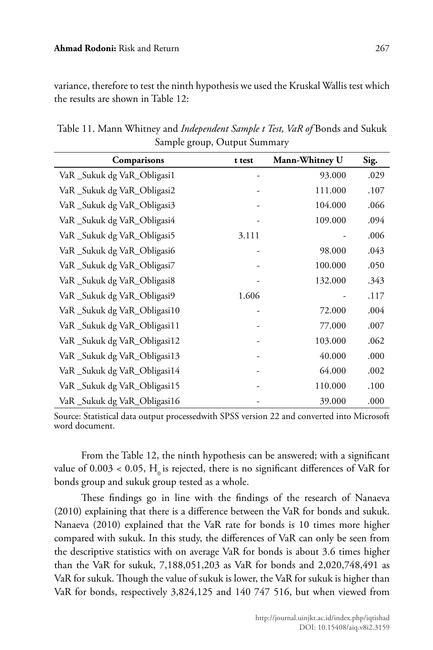variance, therefore to test the ninth hypothesis we used the Kruskal Wallis test which the results are shown in Table 12:

| Comparisons                 | t test | Mann-Whitney U | Sig. |
|-----------------------------|--------|----------------|------|
| VaR_Sukuk dg VaR_Obligasi1  |        | 93.000         | .029 |
| VaR_Sukuk dg VaR_Obligasi2  |        | 111.000        | .107 |
| VaR_Sukuk dg VaR_Obligasi3  |        | 104.000        | .066 |
| VaR_Sukuk dg VaR_Obligasi4  |        | 109.000        | .094 |
| VaR_Sukuk dg VaR_Obligasi5  | 3.111  |                | .006 |
| VaR_Sukuk dg VaR_Obligasi6  |        | 98.000         | .043 |
| VaR_Sukuk dg VaR_Obligasi7  |        | 100.000        | .050 |
| VaR_Sukuk dg VaR_Obligasi8  |        | 132.000        | .343 |
| VaR_Sukuk dg VaR_Obligasi9  | 1.606  |                | .117 |
| VaR_Sukuk dg VaR_Obligasi10 |        | 72.000         | .004 |
| VaR_Sukuk dg VaR_Obligasi11 |        | 77.000         | .007 |
| VaR_Sukuk dg VaR_Obligasi12 |        | 103.000        | .062 |
| VaR_Sukuk dg VaR_Obligasi13 |        | 40.000         | .000 |
| VaR_Sukuk dg VaR_Obligasi14 |        | 64.000         | .002 |
| VaR_Sukuk dg VaR_Obligasi15 |        | 110.000        | .100 |
| VaR_Sukuk dg VaR_Obligasi16 |        | 39.000         | .000 |

Table 11. Mann Whitney and *Independent Sample t Test, VaR of* Bonds and Sukuk Sample group, Output Summary

Source: Statistical data output processedwith SPSS version 22 and converted into Microsoft word document.

From the Table 12, the ninth hypothesis can be answered; with a significant value of  $0.003 < 0.05$ ,  $H<sub>a</sub>$  is rejected, there is no significant differences of VaR for bonds group and sukuk group tested as a whole.

These findings go in line with the findings of the research of Nanaeva (2010) explaining that there is a difference between the VaR for bonds and sukuk. Nanaeva (2010) explained that the VaR rate for bonds is 10 times more higher compared with sukuk. In this study, the differences of VaR can only be seen from the descriptive statistics with on average VaR for bonds is about 3.6 times higher than the VaR for sukuk, 7,188,051,203 as VaR for bonds and 2,020,748,491 as VaR for sukuk. Though the value of sukuk is lower, the VaR for sukuk is higher than VaR for bonds, respectively 3,824,125 and 140 747 516, but when viewed from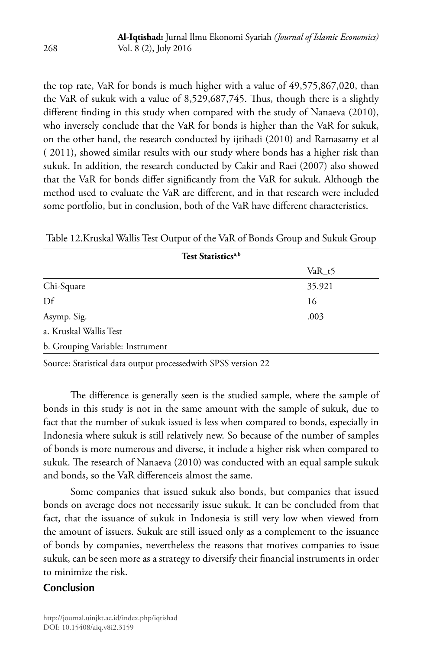the top rate, VaR for bonds is much higher with a value of 49,575,867,020, than the VaR of sukuk with a value of 8,529,687,745. Thus, though there is a slightly different finding in this study when compared with the study of Nanaeva (2010), who inversely conclude that the VaR for bonds is higher than the VaR for sukuk, on the other hand, the research conducted by ijtihadi (2010) and Ramasamy et al ( 2011), showed similar results with our study where bonds has a higher risk than sukuk. In addition, the research conducted by Cakir and Raei (2007) also showed that the VaR for bonds differ significantly from the VaR for sukuk. Although the method used to evaluate the VaR are different, and in that research were included some portfolio, but in conclusion, both of the VaR have different characteristics.

| Test Statistics <sup>a,b</sup>   |          |
|----------------------------------|----------|
|                                  | $VaR_t5$ |
| Chi-Square                       | 35.921   |
| Df                               | 16       |
| Asymp. Sig.                      | .003     |
| a. Kruskal Wallis Test           |          |
| b. Grouping Variable: Instrument |          |

Table 12.Kruskal Wallis Test Output of the VaR of Bonds Group and Sukuk Group

Source: Statistical data output processedwith SPSS version 22

The difference is generally seen is the studied sample, where the sample of bonds in this study is not in the same amount with the sample of sukuk, due to fact that the number of sukuk issued is less when compared to bonds, especially in Indonesia where sukuk is still relatively new. So because of the number of samples of bonds is more numerous and diverse, it include a higher risk when compared to sukuk. The research of Nanaeva (2010) was conducted with an equal sample sukuk and bonds, so the VaR differenceis almost the same.

Some companies that issued sukuk also bonds, but companies that issued bonds on average does not necessarily issue sukuk. It can be concluded from that fact, that the issuance of sukuk in Indonesia is still very low when viewed from the amount of issuers. Sukuk are still issued only as a complement to the issuance of bonds by companies, nevertheless the reasons that motives companies to issue sukuk, can be seen more as a strategy to diversify their financial instruments in order to minimize the risk.

## **Conclusion**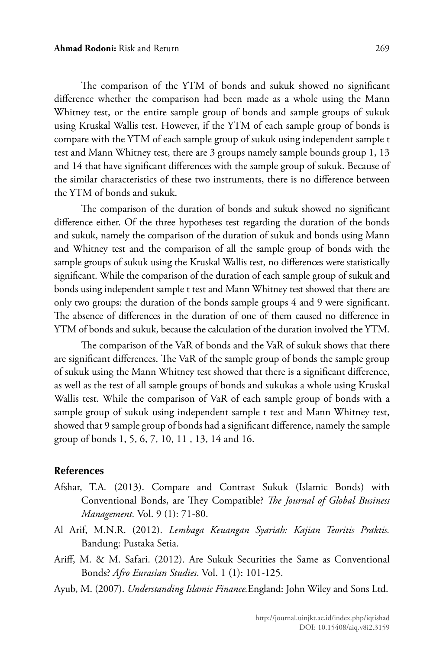The comparison of the YTM of bonds and sukuk showed no significant difference whether the comparison had been made as a whole using the Mann Whitney test, or the entire sample group of bonds and sample groups of sukuk using Kruskal Wallis test. However, if the YTM of each sample group of bonds is compare with the YTM of each sample group of sukuk using independent sample t test and Mann Whitney test, there are 3 groups namely sample bounds group 1, 13 and 14 that have significant differences with the sample group of sukuk. Because of the similar characteristics of these two instruments, there is no difference between the YTM of bonds and sukuk.

The comparison of the duration of bonds and sukuk showed no significant difference either. Of the three hypotheses test regarding the duration of the bonds and sukuk, namely the comparison of the duration of sukuk and bonds using Mann and Whitney test and the comparison of all the sample group of bonds with the sample groups of sukuk using the Kruskal Wallis test, no differences were statistically significant. While the comparison of the duration of each sample group of sukuk and bonds using independent sample t test and Mann Whitney test showed that there are only two groups: the duration of the bonds sample groups 4 and 9 were significant. The absence of differences in the duration of one of them caused no difference in YTM of bonds and sukuk, because the calculation of the duration involved the YTM.

The comparison of the VaR of bonds and the VaR of sukuk shows that there are significant differences. The VaR of the sample group of bonds the sample group of sukuk using the Mann Whitney test showed that there is a significant difference, as well as the test of all sample groups of bonds and sukukas a whole using Kruskal Wallis test. While the comparison of VaR of each sample group of bonds with a sample group of sukuk using independent sample t test and Mann Whitney test, showed that 9 sample group of bonds had a significant difference, namely the sample group of bonds 1, 5, 6, 7, 10, 11 , 13, 14 and 16.

#### **References**

- Afshar, T.A*.* (2013). Compare and Contrast Sukuk (Islamic Bonds) with Conventional Bonds, are They Compatible? *The Journal of Global Business Management.* Vol. 9 (1): 71-80.
- Al Arif, M.N.R. (2012). *Lembaga Keuangan Syariah: Kajian Teoritis Praktis.*  Bandung: Pustaka Setia.
- Ariff, M. & M. Safari. (2012). Are Sukuk Securities the Same as Conventional Bonds? *Afro Eurasian Studies*. Vol. 1 (1): 101-125.
- Ayub, M. (2007). *Understanding Islamic Finance.*England: John Wiley and Sons Ltd.